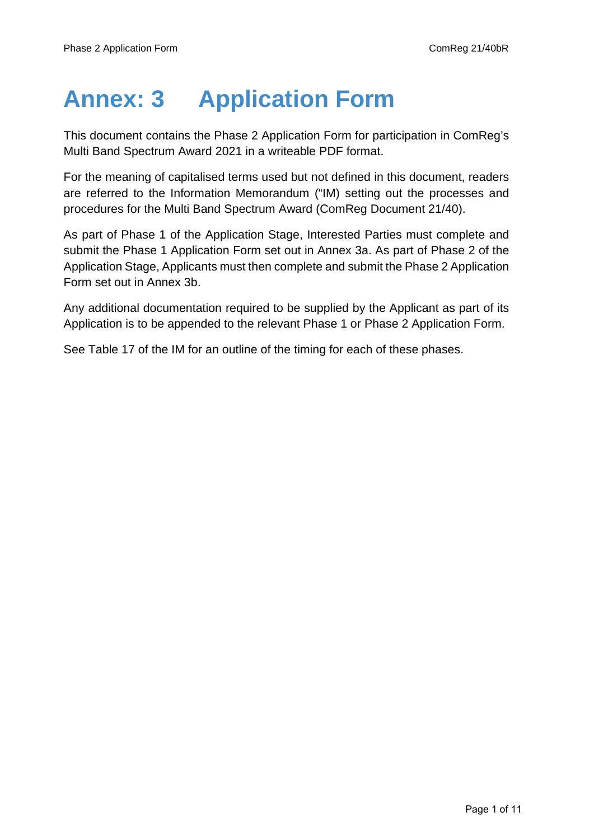# **Annex: 3 Application Form**

This document contains the Phase 2 Application Form for participation in ComReg's Multi Band Spectrum Award 2021 in a writeable PDF format.

For the meaning of capitalised terms used but not defined in this document, readers are referred to the Information Memorandum ("IM) setting out the processes and procedures for the Multi Band Spectrum Award (ComReg Document 21/40).

As part of Phase 1 of the Application Stage, Interested Parties must complete and submit the Phase 1 Application Form set out in Annex 3a. As part of Phase 2 of the Application Stage, Applicants must then complete and submit the Phase 2 Application Form set out in Annex 3b.

Any additional documentation required to be supplied by the Applicant as part of its Application is to be appended to the relevant Phase 1 or Phase 2 Application Form.

See Table 17 of the IM for an outline of the timing for each of these phases.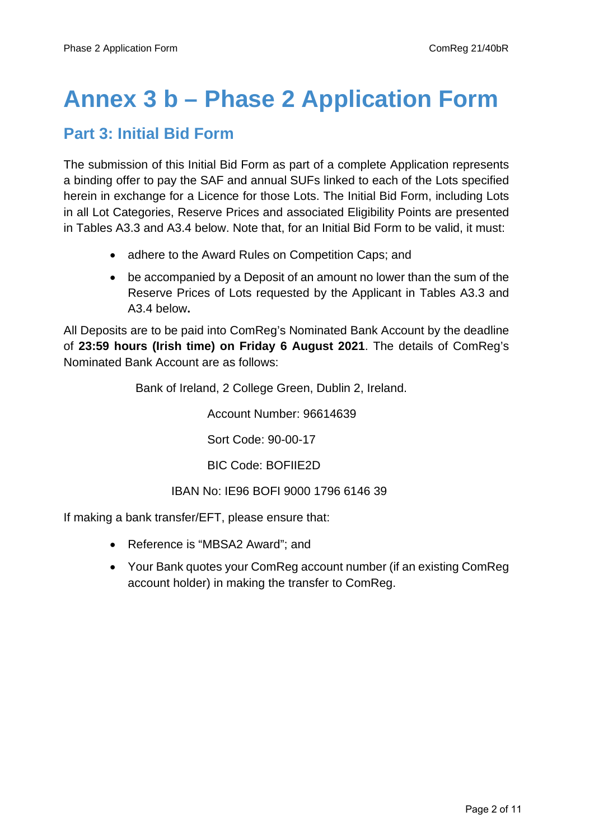## **Annex 3 b – Phase 2 Application Form**

### **Part 3: Initial Bid Form**

The submission of this Initial Bid Form as part of a complete Application represents a binding offer to pay the SAF and annual SUFs linked to each of the Lots specified herein in exchange for a Licence for those Lots. The Initial Bid Form, including Lots in all Lot Categories, Reserve Prices and associated Eligibility Points are presented in Tables A3.3 and A3.4 below. Note that, for an Initial Bid Form to be valid, it must:

- adhere to the Award Rules on Competition Caps; and
- be accompanied by a Deposit of an amount no lower than the sum of the Reserve Prices of Lots requested by the Applicant in Tables A3.3 and A3.4 below**.**

All Deposits are to be paid into ComReg's Nominated Bank Account by the deadline of **23:59 hours (Irish time) on Friday 6 August 2021**. The details of ComReg's Nominated Bank Account are as follows:

Bank of Ireland, 2 College Green, Dublin 2, Ireland.

Account Number: 96614639

Sort Code: 90-00-17

BIC Code: BOFIIE2D

IBAN No: IE96 BOFI 9000 1796 6146 39

If making a bank transfer/EFT, please ensure that:

- Reference is "MBSA2 Award"; and
- Your Bank quotes your ComReg account number (if an existing ComReg account holder) in making the transfer to ComReg.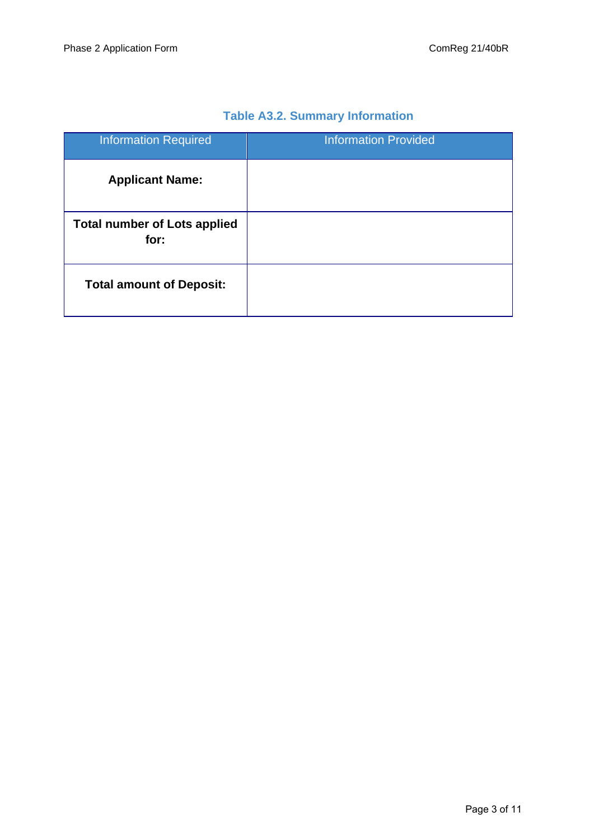| <b>Information Required</b>                 | <b>Information Provided</b> |
|---------------------------------------------|-----------------------------|
| <b>Applicant Name:</b>                      |                             |
| <b>Total number of Lots applied</b><br>for: |                             |
| <b>Total amount of Deposit:</b>             |                             |

### **Table A3.2. Summary Information**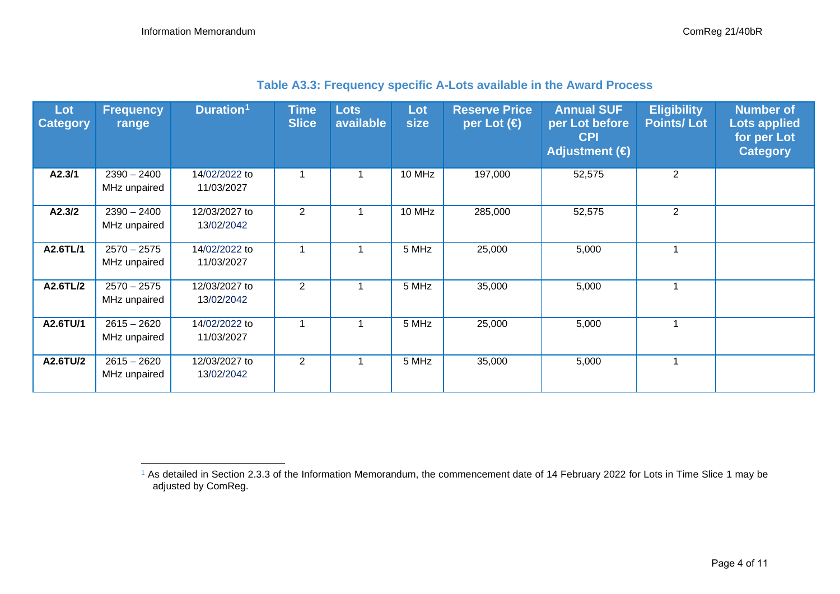| <b>I AVIC AVIV. I TEQUETICY SPECITIC A-LUIS AVAIIADIC III LITE AWAIU I TUCESS</b> |                               |                             |                             |                          |             |                                             |                                                                             |                                         |                                                                           |  |
|-----------------------------------------------------------------------------------|-------------------------------|-----------------------------|-----------------------------|--------------------------|-------------|---------------------------------------------|-----------------------------------------------------------------------------|-----------------------------------------|---------------------------------------------------------------------------|--|
| Lot<br><b>Category</b>                                                            | <b>Frequency</b><br>range     | Duration <sup>1</sup>       | <b>Time</b><br><b>Slice</b> | <b>Lots</b><br>available | Lot<br>size | <b>Reserve Price</b><br>per Lot $\bigoplus$ | <b>Annual SUF</b><br>per Lot before<br><b>CPI</b><br>Adjustment $\bigoplus$ | <b>Eligibility</b><br><b>Points/Lot</b> | <b>Number of</b><br><b>Lots applied</b><br>for per Lot<br><b>Category</b> |  |
| A2.3/1                                                                            | $2390 - 2400$<br>MHz unpaired | 14/02/2022 to<br>11/03/2027 |                             |                          | 10 MHz      | 197,000                                     | 52,575                                                                      | $\overline{2}$                          |                                                                           |  |
| A2.3/2                                                                            | $2390 - 2400$<br>MHz unpaired | 12/03/2027 to<br>13/02/2042 | 2                           |                          | 10 MHz      | 285,000                                     | 52,575                                                                      | $\overline{2}$                          |                                                                           |  |
| A2.6TL/1                                                                          | $2570 - 2575$<br>MHz unpaired | 14/02/2022 to<br>11/03/2027 |                             |                          | 5 MHz       | 25,000                                      | 5,000                                                                       |                                         |                                                                           |  |
| A2.6TL/2                                                                          | $2570 - 2575$<br>MHz unpaired | 12/03/2027 to<br>13/02/2042 | 2                           |                          | 5 MHz       | 35,000                                      | 5,000                                                                       | $\mathbf 1$                             |                                                                           |  |
| A2.6TU/1                                                                          | $2615 - 2620$<br>MHz unpaired | 14/02/2022 to<br>11/03/2027 |                             |                          | 5 MHz       | 25,000                                      | 5,000                                                                       | -1                                      |                                                                           |  |
| A2.6TU/2                                                                          | $2615 - 2620$<br>MHz unpaired | 12/03/2027 to<br>13/02/2042 | $\overline{2}$              |                          | 5 MHz       | 35,000                                      | 5,000                                                                       | 1                                       |                                                                           |  |

#### **Table A3.3: Frequency specific A-Lots available in the Award Process**

<sup>&</sup>lt;sup>1</sup> As detailed in Section 2.3.3 of the Information Memorandum, the commencement date of 14 February 2022 for Lots in Time Slice 1 may be adjusted by ComReg.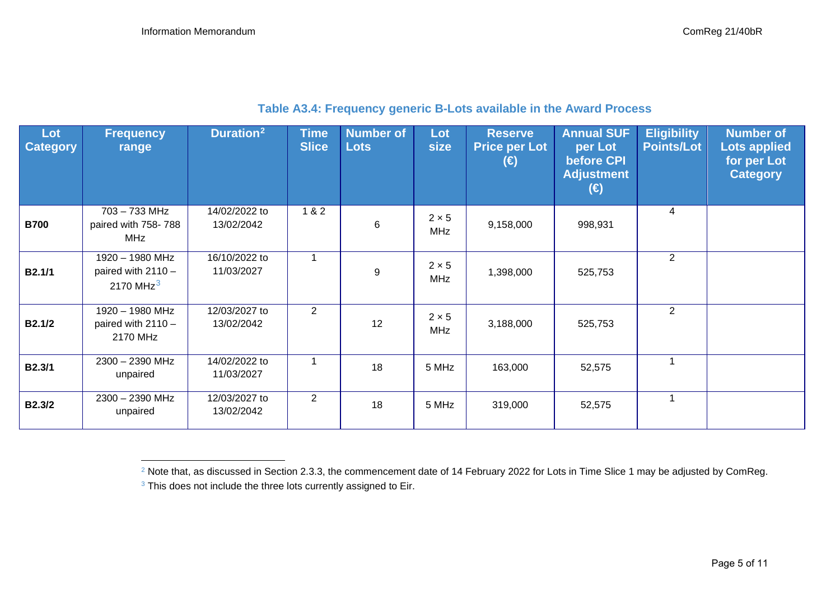| Lot<br><b>Category</b> | <b>Frequency</b><br>range                                | Duration <sup>2</sup>       | <b>Time</b><br><b>Slice</b> | <b>Number of</b><br><b>Lots</b> | Lot<br><b>size</b>         | <b>Reserve</b><br><b>Price per Lot</b><br>$\Theta$ | <b>Annual SUF</b><br>per Lot<br>before CPI<br><b>Adjustment</b><br>(⊖) | <b>Eligibility</b><br><b>Points/Lot</b> | <b>Number of</b><br><b>Lots applied</b><br>for per Lot<br><b>Category</b> |
|------------------------|----------------------------------------------------------|-----------------------------|-----------------------------|---------------------------------|----------------------------|----------------------------------------------------|------------------------------------------------------------------------|-----------------------------------------|---------------------------------------------------------------------------|
| <b>B700</b>            | 703-733 MHz<br>paired with 758-788<br><b>MHz</b>         | 14/02/2022 to<br>13/02/2042 | 1 & 2                       | 6                               | $2 \times 5$<br><b>MHz</b> | 9,158,000                                          | 998,931                                                                | $\overline{4}$                          |                                                                           |
| B2.1/1                 | 1920 - 1980 MHz<br>paired with $2110 -$<br>2170 MHz $^3$ | 16/10/2022 to<br>11/03/2027 |                             | 9                               | $2 \times 5$<br><b>MHz</b> | 1,398,000                                          | 525,753                                                                | 2                                       |                                                                           |
| B2.1/2                 | 1920 - 1980 MHz<br>paired with $2110 -$<br>2170 MHz      | 12/03/2027 to<br>13/02/2042 | $\overline{2}$              | 12                              | $2 \times 5$<br><b>MHz</b> | 3,188,000                                          | 525,753                                                                | 2                                       |                                                                           |
| B2.3/1                 | 2300 - 2390 MHz<br>unpaired                              | 14/02/2022 to<br>11/03/2027 |                             | 18                              | 5 MHz                      | 163,000                                            | 52,575                                                                 |                                         |                                                                           |
| B2.3/2                 | 2300 - 2390 MHz<br>unpaired                              | 12/03/2027 to<br>13/02/2042 | $\overline{2}$              | 18                              | 5 MHz                      | 319,000                                            | 52,575                                                                 | 1                                       |                                                                           |

<sup>&</sup>lt;sup>2</sup> Note that, as discussed in Section 2.3.3, the commencement date of 14 February 2022 for Lots in Time Slice 1 may be adjusted by ComReg.

<sup>&</sup>lt;sup>3</sup> This does not include the three lots currently assigned to Eir.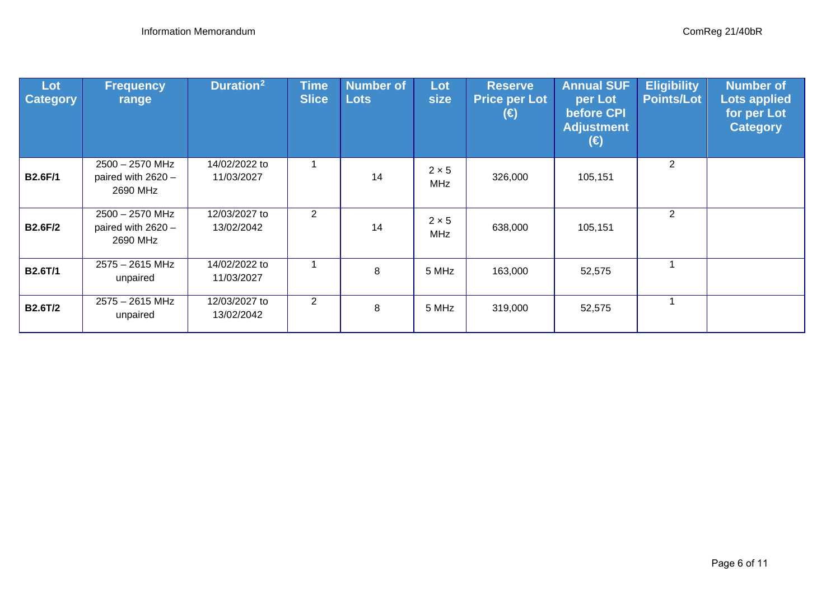| Lot<br><b>Category</b> | <b>Frequency</b><br>range                           | Duration <sup>2</sup>       | <b>Time</b><br><b>Slice</b> | <b>Number of</b><br><b>Lots</b> | Lot<br>size                | <b>Reserve</b><br><b>Price per Lot</b><br>(€) | <b>Annual SUF</b><br>per Lot<br><b>before CPI</b><br><b>Adjustment</b><br>(€) | <b>Eligibility</b><br><b>Points/Lot</b> | <b>Number of</b><br><b>Lots applied</b><br>for per Lot<br><b>Category</b> |
|------------------------|-----------------------------------------------------|-----------------------------|-----------------------------|---------------------------------|----------------------------|-----------------------------------------------|-------------------------------------------------------------------------------|-----------------------------------------|---------------------------------------------------------------------------|
| <b>B2.6F/1</b>         | 2500 - 2570 MHz<br>paired with $2620 -$<br>2690 MHz | 14/02/2022 to<br>11/03/2027 |                             | 14                              | $2 \times 5$<br>MHz        | 326,000                                       | 105,151                                                                       | 2                                       |                                                                           |
| <b>B2.6F/2</b>         | 2500 - 2570 MHz<br>paired with $2620 -$<br>2690 MHz | 12/03/2027 to<br>13/02/2042 | $\overline{2}$              | 14                              | $2 \times 5$<br><b>MHz</b> | 638,000                                       | 105,151                                                                       | 2                                       |                                                                           |
| <b>B2.6T/1</b>         | 2575 - 2615 MHz<br>unpaired                         | 14/02/2022 to<br>11/03/2027 |                             | 8                               | 5 MHz                      | 163,000                                       | 52,575                                                                        |                                         |                                                                           |
| <b>B2.6T/2</b>         | 2575 - 2615 MHz<br>unpaired                         | 12/03/2027 to<br>13/02/2042 | $\overline{2}$              | 8                               | 5 MHz                      | 319,000                                       | 52,575                                                                        |                                         |                                                                           |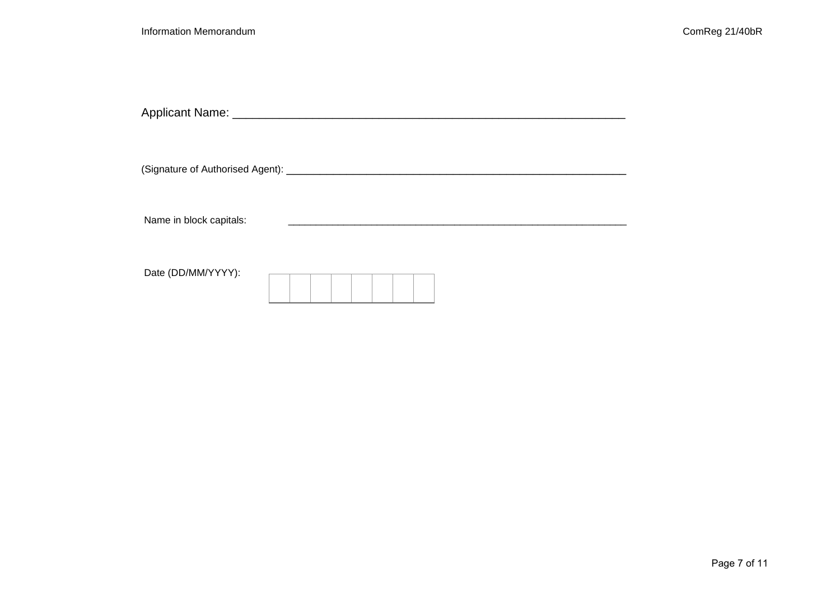Applicant Name: \_\_\_\_\_\_\_\_\_\_\_\_\_\_\_\_\_\_\_\_\_\_\_\_\_\_\_\_\_\_\_\_\_\_\_\_\_\_\_\_\_\_\_\_\_\_\_\_\_\_\_\_\_\_\_\_\_\_\_

(Signature of Authorised Agent): \_\_\_\_\_\_\_\_\_\_\_\_\_\_\_\_\_\_\_\_\_\_\_\_\_\_\_\_\_\_\_\_\_\_\_\_\_\_\_\_\_\_\_\_\_\_\_\_\_\_\_

Name in block capitals: \_\_\_\_\_\_\_\_\_\_\_\_\_\_\_\_\_\_\_\_\_\_\_\_\_\_\_\_\_\_\_\_\_\_\_\_\_\_\_\_\_\_\_\_\_\_\_\_\_\_\_\_\_\_\_\_\_\_\_\_\_

Date (DD/MM/YYYY):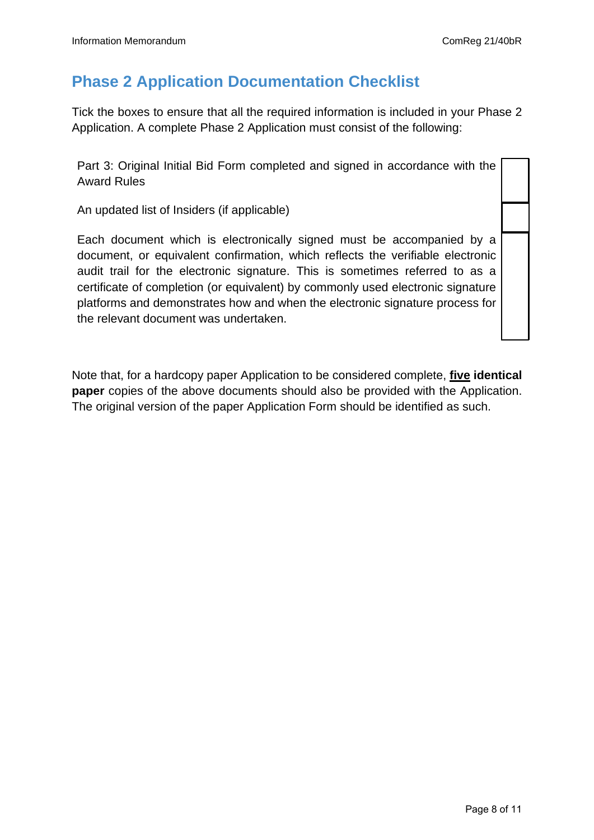## **Phase 2 Application Documentation Checklist**

Tick the boxes to ensure that all the required information is included in your Phase 2 Application. A complete Phase 2 Application must consist of the following:

Part 3: Original Initial Bid Form completed and signed in accordance with the Award Rules

An updated list of Insiders (if applicable)

Each document which is electronically signed must be accompanied by a document, or equivalent confirmation, which reflects the verifiable electronic audit trail for the electronic signature. This is sometimes referred to as a certificate of completion (or equivalent) by commonly used electronic signature platforms and demonstrates how and when the electronic signature process for the relevant document was undertaken.

Note that, for a hardcopy paper Application to be considered complete, **five identical paper** copies of the above documents should also be provided with the Application. The original version of the paper Application Form should be identified as such.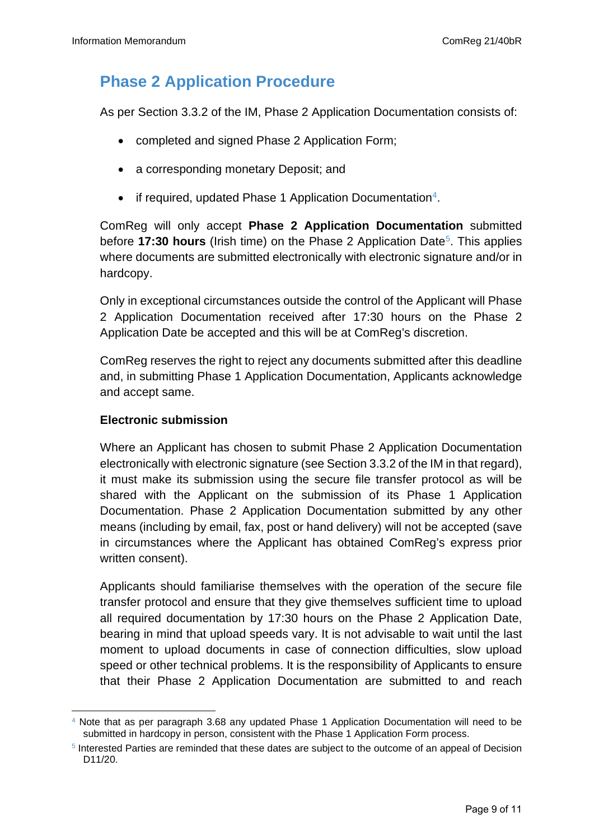## **Phase 2 Application Procedure**

As per Section 3.3.2 of the IM, Phase 2 Application Documentation consists of:

- completed and signed Phase 2 Application Form;
- a corresponding monetary Deposit; and
- if required, updated Phase 1 Application Documentation<sup>[4](#page-8-0)</sup>.

ComReg will only accept **Phase 2 Application Documentation** submitted before **17:30 hours** (Irish time) on the Phase 2 Application Date<sup>[5](#page-8-1)</sup>. This applies where documents are submitted electronically with electronic signature and/or in hardcopy.

Only in exceptional circumstances outside the control of the Applicant will Phase 2 Application Documentation received after 17:30 hours on the Phase 2 Application Date be accepted and this will be at ComReg's discretion.

ComReg reserves the right to reject any documents submitted after this deadline and, in submitting Phase 1 Application Documentation, Applicants acknowledge and accept same.

#### **Electronic submission**

Where an Applicant has chosen to submit Phase 2 Application Documentation electronically with electronic signature (see Section 3.3.2 of the IM in that regard), it must make its submission using the secure file transfer protocol as will be shared with the Applicant on the submission of its Phase 1 Application Documentation. Phase 2 Application Documentation submitted by any other means (including by email, fax, post or hand delivery) will not be accepted (save in circumstances where the Applicant has obtained ComReg's express prior written consent).

Applicants should familiarise themselves with the operation of the secure file transfer protocol and ensure that they give themselves sufficient time to upload all required documentation by 17:30 hours on the Phase 2 Application Date, bearing in mind that upload speeds vary. It is not advisable to wait until the last moment to upload documents in case of connection difficulties, slow upload speed or other technical problems. It is the responsibility of Applicants to ensure that their Phase 2 Application Documentation are submitted to and reach

<span id="page-8-0"></span><sup>4</sup> Note that as per paragraph 3.68 any updated Phase 1 Application Documentation will need to be submitted in hardcopy in person, consistent with the Phase 1 Application Form process.

<span id="page-8-1"></span><sup>5</sup> Interested Parties are reminded that these dates are subject to the outcome of an appeal of Decision D11/20.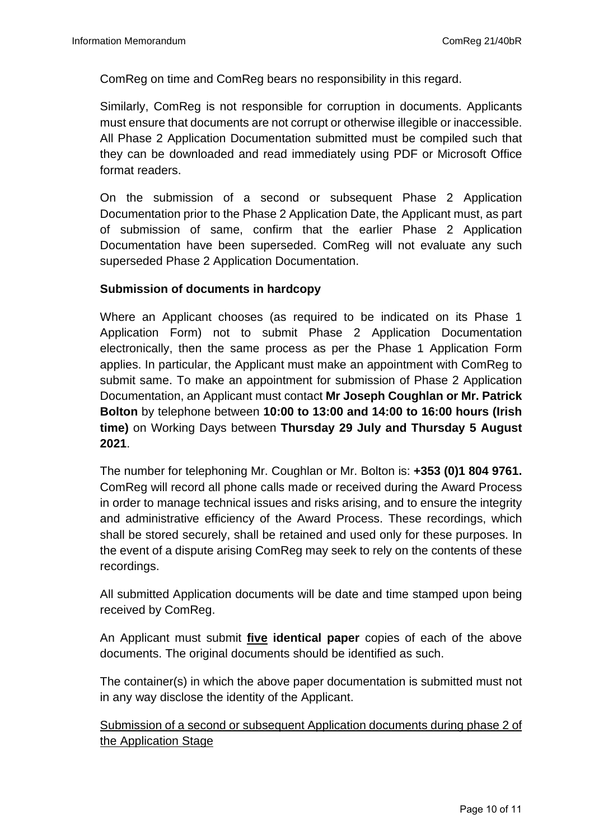ComReg on time and ComReg bears no responsibility in this regard.

Similarly, ComReg is not responsible for corruption in documents. Applicants must ensure that documents are not corrupt or otherwise illegible or inaccessible. All Phase 2 Application Documentation submitted must be compiled such that they can be downloaded and read immediately using PDF or Microsoft Office format readers.

On the submission of a second or subsequent Phase 2 Application Documentation prior to the Phase 2 Application Date, the Applicant must, as part of submission of same, confirm that the earlier Phase 2 Application Documentation have been superseded. ComReg will not evaluate any such superseded Phase 2 Application Documentation.

#### **Submission of documents in hardcopy**

Where an Applicant chooses (as required to be indicated on its Phase 1 Application Form) not to submit Phase 2 Application Documentation electronically, then the same process as per the Phase 1 Application Form applies. In particular, the Applicant must make an appointment with ComReg to submit same. To make an appointment for submission of Phase 2 Application Documentation, an Applicant must contact **Mr Joseph Coughlan or Mr. Patrick Bolton** by telephone between **10:00 to 13:00 and 14:00 to 16:00 hours (Irish time)** on Working Days between **Thursday 29 July and Thursday 5 August 2021**.

The number for telephoning Mr. Coughlan or Mr. Bolton is: **+353 (0)1 804 9761.**  ComReg will record all phone calls made or received during the Award Process in order to manage technical issues and risks arising, and to ensure the integrity and administrative efficiency of the Award Process. These recordings, which shall be stored securely, shall be retained and used only for these purposes. In the event of a dispute arising ComReg may seek to rely on the contents of these recordings.

All submitted Application documents will be date and time stamped upon being received by ComReg.

An Applicant must submit **five identical paper** copies of each of the above documents. The original documents should be identified as such.

The container(s) in which the above paper documentation is submitted must not in any way disclose the identity of the Applicant.

Submission of a second or subsequent Application documents during phase 2 of the Application Stage